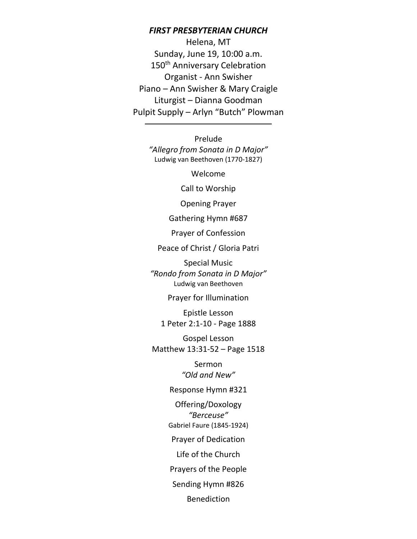#### *FIRST PRESBYTERIAN CHURCH*

Helena, MT Sunday, June 19, 10:00 a.m. 150<sup>th</sup> Anniversary Celebration Organist - Ann Swisher Piano – Ann Swisher & Mary Craigle Liturgist – Dianna Goodman Pulpit Supply – Arlyn "Butch" Plowman

> Prelude *"Allegro from Sonata in D Major"* Ludwig van Beethoven (1770-1827)

> > Welcome

Call to Worship

Opening Prayer

Gathering Hymn #687

Prayer of Confession

Peace of Christ / Gloria Patri

Special Music *"Rondo from Sonata in D Major"* Ludwig van Beethoven

Prayer for Illumination

Epistle Lesson 1 Peter 2:1-10 - Page 1888

Gospel Lesson Matthew 13:31-52 – Page 1518

> Sermon *"Old and New"*

Response Hymn #321

Offering/Doxology *"Berceuse"* Gabriel Faure (1845-1924)

Prayer of Dedication

Life of the Church

Prayers of the People

Sending Hymn #826

Benediction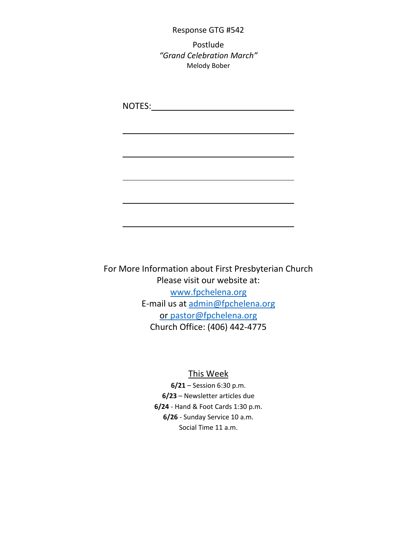#### Response GTG #542

Postlude *"Grand Celebration March"* Melody Bober

NOTES: www.asteron.com/

For More Information about First Presbyterian Church Please visit our website at: [www.fpchelena.org](http://www.fpchelena.org/) E-mail us at [admin@fpchelena.org](mailto:admin@fpchelena.org) or pastor@fpchelena.org Church Office: (406) 442-4775

#### This Week

**6/21** – Session 6:30 p.m. **6/23** – Newsletter articles due **6/24** - Hand & Foot Cards 1:30 p.m. **6/26** - Sunday Service 10 a.m. Social Time 11 a.m.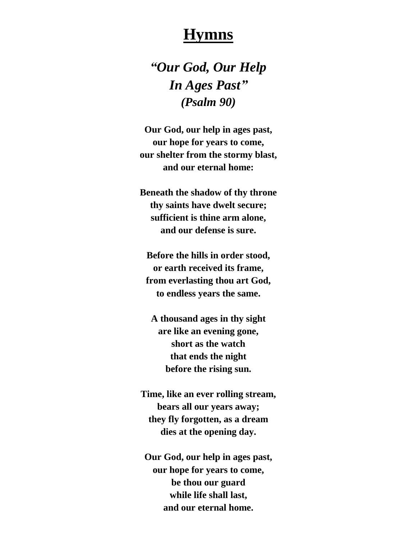## **Hymns**

*"Our God, Our Help In Ages Past" (Psalm 90)*

**Our God, our help in ages past, our hope for years to come, our shelter from the stormy blast, and our eternal home:**

**Beneath the shadow of thy throne thy saints have dwelt secure; sufficient is thine arm alone, and our defense is sure.**

**Before the hills in order stood, or earth received its frame, from everlasting thou art God, to endless years the same.**

**A thousand ages in thy sight are like an evening gone, short as the watch that ends the night before the rising sun.**

**Time, like an ever rolling stream, bears all our years away; they fly forgotten, as a dream dies at the opening day.**

**Our God, our help in ages past, our hope for years to come, be thou our guard while life shall last, and our eternal home.**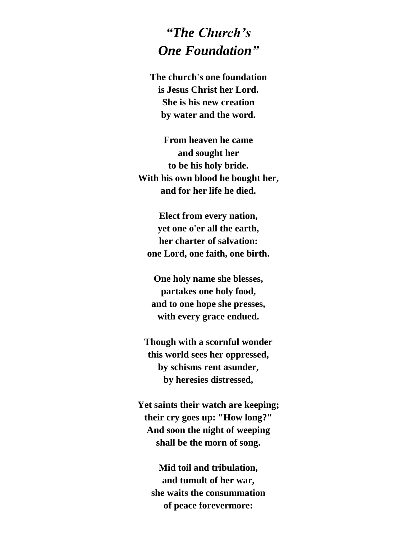## *"The Church's One Foundation"*

**The church's one foundation is Jesus Christ her Lord. She is his new creation by water and the word.**

**From heaven he came and sought her to be his holy bride. With his own blood he bought her, and for her life he died.**

**Elect from every nation, yet one o'er all the earth, her charter of salvation: one Lord, one faith, one birth.**

**One holy name she blesses, partakes one holy food, and to one hope she presses, with every grace endued.**

**Though with a scornful wonder this world sees her oppressed, by schisms rent asunder, by heresies distressed,**

**Yet saints their watch are keeping; their cry goes up: "How long?" And soon the night of weeping shall be the morn of song.**

**Mid toil and tribulation, and tumult of her war, she waits the consummation of peace forevermore:**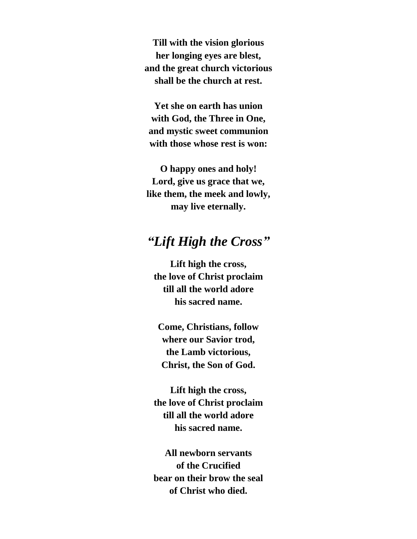**Till with the vision glorious her longing eyes are blest, and the great church victorious shall be the church at rest.**

**Yet she on earth has union with God, the Three in One, and mystic sweet communion with those whose rest is won:**

**O happy ones and holy! Lord, give us grace that we, like them, the meek and lowly, may live eternally.**

#### *"Lift High the Cross"*

**Lift high the cross, the love of Christ proclaim till all the world adore his sacred name.**

**Come, Christians, follow where our Savior trod, the Lamb victorious, Christ, the Son of God.**

**Lift high the cross, the love of Christ proclaim till all the world adore his sacred name.**

**All newborn servants of the Crucified bear on their brow the seal of Christ who died.**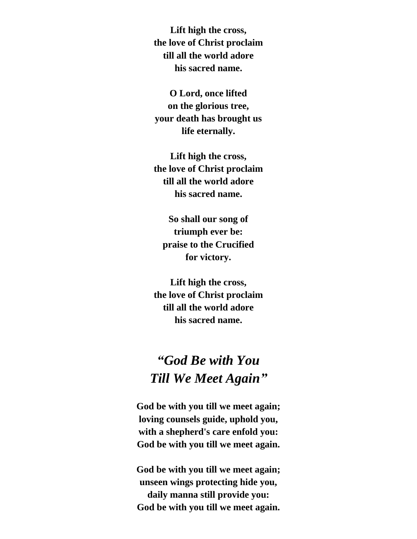**Lift high the cross, the love of Christ proclaim till all the world adore his sacred name.**

**O Lord, once lifted on the glorious tree, your death has brought us life eternally.**

**Lift high the cross, the love of Christ proclaim till all the world adore his sacred name.**

**So shall our song of triumph ever be: praise to the Crucified for victory.**

**Lift high the cross, the love of Christ proclaim till all the world adore his sacred name.**

## *"God Be with You Till We Meet Again"*

**God be with you till we meet again; loving counsels guide, uphold you, with a shepherd's care enfold you: God be with you till we meet again.**

**God be with you till we meet again; unseen wings protecting hide you, daily manna still provide you: God be with you till we meet again.**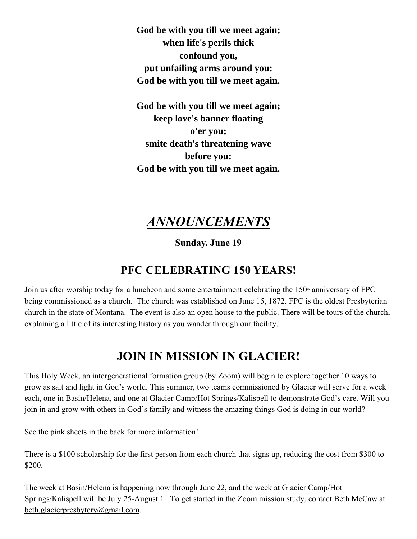**God be with you till we meet again; when life's perils thick confound you, put unfailing arms around you: God be with you till we meet again.**

**God be with you till we meet again; keep love's banner floating o'er you; smite death's threatening wave before you: God be with you till we meet again.**

#### *ANNOUNCEMENTS*

**Sunday, June 19**

#### **PFC CELEBRATING 150 YEARS!**

Join us after worship today for a luncheon and some entertainment celebrating the  $150<sup>th</sup>$  anniversary of FPC being commissioned as a church. The church was established on June 15, 1872. FPC is the oldest Presbyterian church in the state of Montana. The event is also an open house to the public. There will be tours of the church, explaining a little of its interesting history as you wander through our facility.

### **JOIN IN MISSION IN GLACIER!**

This Holy Week, an intergenerational formation group (by Zoom) will begin to explore together 10 ways to grow as salt and light in God's world. This summer, two teams commissioned by Glacier will serve for a week each, one in Basin/Helena, and one at Glacier Camp/Hot Springs/Kalispell to demonstrate God's care. Will you join in and grow with others in God's family and witness the amazing things God is doing in our world?

See the pink sheets in the back for more information!

There is a \$100 scholarship for the first person from each church that signs up, reducing the cost from \$300 to \$200.

The week at Basin/Helena is happening now through June 22, and the week at Glacier Camp/Hot Springs/Kalispell will be July 25-August 1. To get started in the Zoom mission study, contact Beth McCaw at [beth.glacierpresbytery@gmail.com.](mailto:beth.glacierpresbytery@gmail.com)